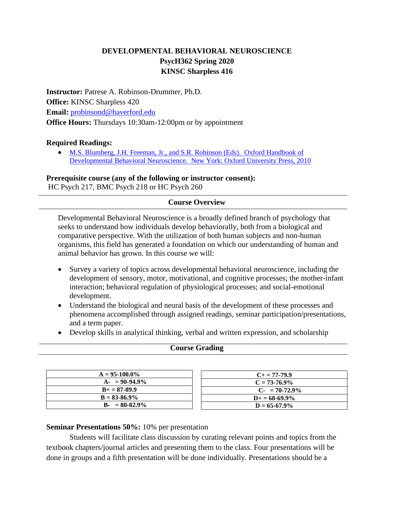## **DEVELOPMENTAL BEHAVIORAL NEUROSCIENCE PsycH362 Spring 2020 KINSC Sharpless 416**

**Instructor:** Patrese A. Robinson-Drummer, Ph.D. **Office:** KINSC Sharpless 420 **Email:** [probinsond@haverford.edu](mailto:probinsond@haverford.edu) **Office Hours:** Thursdays 10:30am-12:00pm or by appointment

### **Required Readings:**

• [M.S. Blumberg, J.H. Freeman, Jr., and S.R. Robinson \(Eds\). Oxford Handbook of](https://haverford.redshelf.com/book/isbn/9780198042969)  [Developmental Behavioral Neuroscience. New York: Oxford University Press, 2010](https://haverford.redshelf.com/book/isbn/9780198042969)

**Prerequisite course (any of the following or instructor consent):** 

HC Psych 217, BMC Psych 218 or HC Psych 260

## **Course Overview**

Developmental Behavioral Neuroscience is a broadly defined branch of psychology that seeks to understand how individuals develop behaviorally, both from a biological and comparative perspective. With the utilization of both human subjects and non-human organisms, this field has generated a foundation on which our understanding of human and animal behavior has grown. In this course we will:

- Survey a variety of topics across developmental behavioral neuroscience, including the development of sensory, motor, motivational, and cognitive processes; the mother-infant interaction; behavioral regulation of physiological processes; and social-emotional development.
- Understand the biological and neural basis of the development of these processes and phenomena accomplished through assigned readings, seminar participation/presentations, and a term paper.
- Develop skills in analytical thinking, verbal and written expression, and scholarship

#### **Course Grading**

| $A = 95-100.0\%$  |
|-------------------|
| $A - 90 - 94.9\%$ |
| $B_+ = 87 - 89.9$ |
| $B = 83 - 86.9\%$ |
| $B - 80 - 82.9\%$ |

| $C_{\pm} = 77 - 79.9$     |
|---------------------------|
| $C = 73-76.9\%$           |
| $C_{\text{F}}$ = 70-72.9% |
| $D_{+} = 68 - 69.9\%$     |
| $D = 65 - 67.9\%$         |

## **Seminar Presentations 50%:** 10% per presentation

Students will facilitate class discussion by curating relevant points and topics from the textbook chapters/journal articles and presenting them to the class. Four presentations will be done in groups and a fifth presentation will be done individually. Presentations should be a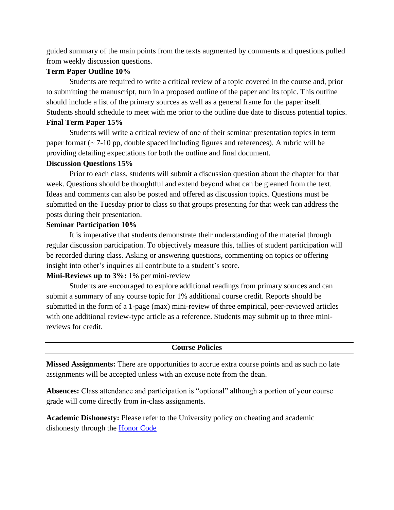guided summary of the main points from the texts augmented by comments and questions pulled from weekly discussion questions.

## **Term Paper Outline 10%**

Students are required to write a critical review of a topic covered in the course and, prior to submitting the manuscript, turn in a proposed outline of the paper and its topic. This outline should include a list of the primary sources as well as a general frame for the paper itself. Students should schedule to meet with me prior to the outline due date to discuss potential topics.

#### **Final Term Paper 15%**

Students will write a critical review of one of their seminar presentation topics in term paper format ( $\sim$  7-10 pp, double spaced including figures and references). A rubric will be providing detailing expectations for both the outline and final document.

#### **Discussion Questions 15%**

Prior to each class, students will submit a discussion question about the chapter for that week. Questions should be thoughtful and extend beyond what can be gleaned from the text. Ideas and comments can also be posted and offered as discussion topics. Questions must be submitted on the Tuesday prior to class so that groups presenting for that week can address the posts during their presentation.

#### **Seminar Participation 10%**

It is imperative that students demonstrate their understanding of the material through regular discussion participation. To objectively measure this, tallies of student participation will be recorded during class. Asking or answering questions, commenting on topics or offering insight into other's inquiries all contribute to a student's score.

#### **Mini-Reviews up to 3%:** 1% per mini-review

Students are encouraged to explore additional readings from primary sources and can submit a summary of any course topic for 1% additional course credit. Reports should be submitted in the form of a 1-page (max) mini-review of three empirical, peer-reviewed articles with one additional review-type article as a reference. Students may submit up to three minireviews for credit.

#### **Course Policies**

**Missed Assignments:** There are opportunities to accrue extra course points and as such no late assignments will be accepted unless with an excuse note from the dean.

**Absences:** Class attendance and participation is "optional" although a portion of your course grade will come directly from in-class assignments.

**Academic Dishonesty:** Please refer to the University policy on cheating and academic dishonesty through the [Honor Code](https://www.haverford.edu/academics/honor-code)